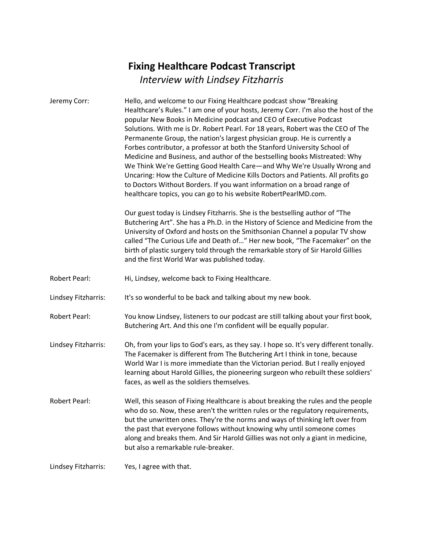## **Fixing Healthcare Podcast Transcript** *Interview with Lindsey Fitzharris*

| Jeremy Corr:         | Hello, and welcome to our Fixing Healthcare podcast show "Breaking<br>Healthcare's Rules." I am one of your hosts, Jeremy Corr. I'm also the host of the<br>popular New Books in Medicine podcast and CEO of Executive Podcast<br>Solutions. With me is Dr. Robert Pearl. For 18 years, Robert was the CEO of The<br>Permanente Group, the nation's largest physician group. He is currently a<br>Forbes contributor, a professor at both the Stanford University School of<br>Medicine and Business, and author of the bestselling books Mistreated: Why<br>We Think We're Getting Good Health Care-and Why We're Usually Wrong and<br>Uncaring: How the Culture of Medicine Kills Doctors and Patients. All profits go<br>to Doctors Without Borders. If you want information on a broad range of<br>healthcare topics, you can go to his website RobertPearlMD.com.<br>Our guest today is Lindsey Fitzharris. She is the bestselling author of "The<br>Butchering Art". She has a Ph.D. in the History of Science and Medicine from the<br>University of Oxford and hosts on the Smithsonian Channel a popular TV show<br>called "The Curious Life and Death of" Her new book, "The Facemaker" on the<br>birth of plastic surgery told through the remarkable story of Sir Harold Gillies<br>and the first World War was published today. |
|----------------------|----------------------------------------------------------------------------------------------------------------------------------------------------------------------------------------------------------------------------------------------------------------------------------------------------------------------------------------------------------------------------------------------------------------------------------------------------------------------------------------------------------------------------------------------------------------------------------------------------------------------------------------------------------------------------------------------------------------------------------------------------------------------------------------------------------------------------------------------------------------------------------------------------------------------------------------------------------------------------------------------------------------------------------------------------------------------------------------------------------------------------------------------------------------------------------------------------------------------------------------------------------------------------------------------------------------------------------------------|
| <b>Robert Pearl:</b> | Hi, Lindsey, welcome back to Fixing Healthcare.                                                                                                                                                                                                                                                                                                                                                                                                                                                                                                                                                                                                                                                                                                                                                                                                                                                                                                                                                                                                                                                                                                                                                                                                                                                                                              |
| Lindsey Fitzharris:  | It's so wonderful to be back and talking about my new book.                                                                                                                                                                                                                                                                                                                                                                                                                                                                                                                                                                                                                                                                                                                                                                                                                                                                                                                                                                                                                                                                                                                                                                                                                                                                                  |
| <b>Robert Pearl:</b> | You know Lindsey, listeners to our podcast are still talking about your first book,<br>Butchering Art. And this one I'm confident will be equally popular.                                                                                                                                                                                                                                                                                                                                                                                                                                                                                                                                                                                                                                                                                                                                                                                                                                                                                                                                                                                                                                                                                                                                                                                   |
| Lindsey Fitzharris:  | Oh, from your lips to God's ears, as they say. I hope so. It's very different tonally.<br>The Facemaker is different from The Butchering Art I think in tone, because<br>World War I is more immediate than the Victorian period. But I really enjoyed<br>learning about Harold Gillies, the pioneering surgeon who rebuilt these soldiers'<br>faces, as well as the soldiers themselves.                                                                                                                                                                                                                                                                                                                                                                                                                                                                                                                                                                                                                                                                                                                                                                                                                                                                                                                                                    |
| Robert Pearl:        | Well, this season of Fixing Healthcare is about breaking the rules and the people<br>who do so. Now, these aren't the written rules or the regulatory requirements,<br>but the unwritten ones. They're the norms and ways of thinking left over from<br>the past that everyone follows without knowing why until someone comes<br>along and breaks them. And Sir Harold Gillies was not only a giant in medicine,<br>but also a remarkable rule-breaker.                                                                                                                                                                                                                                                                                                                                                                                                                                                                                                                                                                                                                                                                                                                                                                                                                                                                                     |
| Lindsey Fitzharris:  | Yes, I agree with that.                                                                                                                                                                                                                                                                                                                                                                                                                                                                                                                                                                                                                                                                                                                                                                                                                                                                                                                                                                                                                                                                                                                                                                                                                                                                                                                      |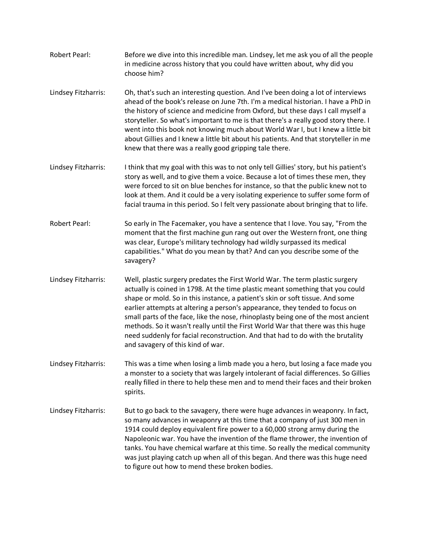- Robert Pearl: Before we dive into this incredible man. Lindsey, let me ask you of all the people in medicine across history that you could have written about, why did you choose him?
- Lindsey Fitzharris: Oh, that's such an interesting question. And I've been doing a lot of interviews ahead of the book's release on June 7th. I'm a medical historian. I have a PhD in the history of science and medicine from Oxford, but these days I call myself a storyteller. So what's important to me is that there's a really good story there. I went into this book not knowing much about World War I, but I knew a little bit about Gillies and I knew a little bit about his patients. And that storyteller in me knew that there was a really good gripping tale there.
- Lindsey Fitzharris: I think that my goal with this was to not only tell Gillies' story, but his patient's story as well, and to give them a voice. Because a lot of times these men, they were forced to sit on blue benches for instance, so that the public knew not to look at them. And it could be a very isolating experience to suffer some form of facial trauma in this period. So I felt very passionate about bringing that to life.
- Robert Pearl: So early in The Facemaker, you have a sentence that I love. You say, "From the moment that the first machine gun rang out over the Western front, one thing was clear, Europe's military technology had wildly surpassed its medical capabilities." What do you mean by that? And can you describe some of the savagery?
- Lindsey Fitzharris: Well, plastic surgery predates the First World War. The term plastic surgery actually is coined in 1798. At the time plastic meant something that you could shape or mold. So in this instance, a patient's skin or soft tissue. And some earlier attempts at altering a person's appearance, they tended to focus on small parts of the face, like the nose, rhinoplasty being one of the most ancient methods. So it wasn't really until the First World War that there was this huge need suddenly for facial reconstruction. And that had to do with the brutality and savagery of this kind of war.
- Lindsey Fitzharris: This was a time when losing a limb made you a hero, but losing a face made you a monster to a society that was largely intolerant of facial differences. So Gillies really filled in there to help these men and to mend their faces and their broken spirits.
- Lindsey Fitzharris: But to go back to the savagery, there were huge advances in weaponry. In fact, so many advances in weaponry at this time that a company of just 300 men in 1914 could deploy equivalent fire power to a 60,000 strong army during the Napoleonic war. You have the invention of the flame thrower, the invention of tanks. You have chemical warfare at this time. So really the medical community was just playing catch up when all of this began. And there was this huge need to figure out how to mend these broken bodies.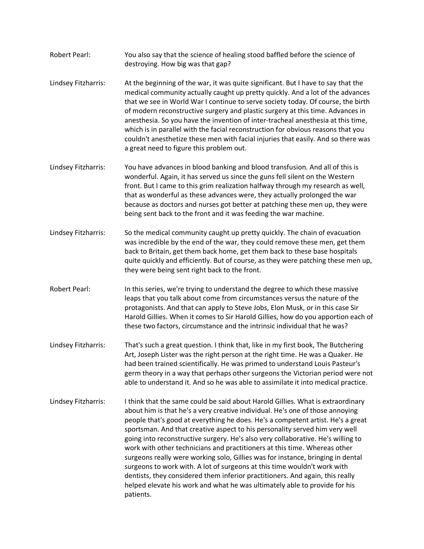- Robert Pearl: You also say that the science of healing stood baffled before the science of destroying. How big was that gap?
- Lindsey Fitzharris: At the beginning of the war, it was quite significant. But I have to say that the medical community actually caught up pretty quickly. And a lot of the advances that we see in World War I continue to serve society today. Of course, the birth of modern reconstructive surgery and plastic surgery at this time. Advances in anesthesia. So you have the invention of inter-tracheal anesthesia at this time, which is in parallel with the facial reconstruction for obvious reasons that you couldn't anesthetize these men with facial injuries that easily. And so there was a great need to figure this problem out.
- Lindsey Fitzharris: You have advances in blood banking and blood transfusion. And all of this is wonderful. Again, it has served us since the guns fell silent on the Western front. But I came to this grim realization halfway through my research as well, that as wonderful as these advances were, they actually prolonged the war because as doctors and nurses got better at patching these men up, they were being sent back to the front and it was feeding the war machine.
- Lindsey Fitzharris: So the medical community caught up pretty quickly. The chain of evacuation was incredible by the end of the war, they could remove these men, get them back to Britain, get them back home, get them back to these base hospitals quite quickly and efficiently. But of course, as they were patching these men up, they were being sent right back to the front.
- Robert Pearl: In this series, we're trying to understand the degree to which these massive leaps that you talk about come from circumstances versus the nature of the protagonists. And that can apply to Steve Jobs, Elon Musk, or in this case Sir Harold Gillies. When it comes to Sir Harold Gillies, how do you apportion each of these two factors, circumstance and the intrinsic individual that he was?
- Lindsey Fitzharris: That's such a great question. I think that, like in my first book, The Butchering Art, Joseph Lister was the right person at the right time. He was a Quaker. He had been trained scientifically. He was primed to understand Louis Pasteur's germ theory in a way that perhaps other surgeons the Victorian period were not able to understand it. And so he was able to assimilate it into medical practice.
- Lindsey Fitzharris: I think that the same could be said about Harold Gillies. What is extraordinary about him is that he's a very creative individual. He's one of those annoying people that's good at everything he does. He's a competent artist. He's a great sportsman. And that creative aspect to his personality served him very well going into reconstructive surgery. He's also very collaborative. He's willing to work with other technicians and practitioners at this time. Whereas other surgeons really were working solo, Gillies was for instance, bringing in dental surgeons to work with. A lot of surgeons at this time wouldn't work with dentists, they considered them inferior practitioners. And again, this really helped elevate his work and what he was ultimately able to provide for his patients.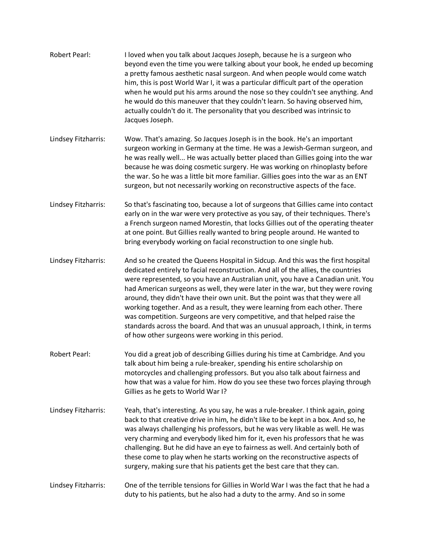| <b>Robert Pearl:</b> | I loved when you talk about Jacques Joseph, because he is a surgeon who<br>beyond even the time you were talking about your book, he ended up becoming<br>a pretty famous aesthetic nasal surgeon. And when people would come watch<br>him, this is post World War I, it was a particular difficult part of the operation<br>when he would put his arms around the nose so they couldn't see anything. And<br>he would do this maneuver that they couldn't learn. So having observed him,<br>actually couldn't do it. The personality that you described was intrinsic to<br>Jacques Joseph.                                                                                                                                       |
|----------------------|------------------------------------------------------------------------------------------------------------------------------------------------------------------------------------------------------------------------------------------------------------------------------------------------------------------------------------------------------------------------------------------------------------------------------------------------------------------------------------------------------------------------------------------------------------------------------------------------------------------------------------------------------------------------------------------------------------------------------------|
| Lindsey Fitzharris:  | Wow. That's amazing. So Jacques Joseph is in the book. He's an important<br>surgeon working in Germany at the time. He was a Jewish-German surgeon, and<br>he was really well He was actually better placed than Gillies going into the war<br>because he was doing cosmetic surgery. He was working on rhinoplasty before<br>the war. So he was a little bit more familiar. Gillies goes into the war as an ENT<br>surgeon, but not necessarily working on reconstructive aspects of the face.                                                                                                                                                                                                                                    |
| Lindsey Fitzharris:  | So that's fascinating too, because a lot of surgeons that Gillies came into contact<br>early on in the war were very protective as you say, of their techniques. There's<br>a French surgeon named Morestin, that locks Gillies out of the operating theater<br>at one point. But Gillies really wanted to bring people around. He wanted to<br>bring everybody working on facial reconstruction to one single hub.                                                                                                                                                                                                                                                                                                                |
| Lindsey Fitzharris:  | And so he created the Queens Hospital in Sidcup. And this was the first hospital<br>dedicated entirely to facial reconstruction. And all of the allies, the countries<br>were represented, so you have an Australian unit, you have a Canadian unit. You<br>had American surgeons as well, they were later in the war, but they were roving<br>around, they didn't have their own unit. But the point was that they were all<br>working together. And as a result, they were learning from each other. There<br>was competition. Surgeons are very competitive, and that helped raise the<br>standards across the board. And that was an unusual approach, I think, in terms<br>of how other surgeons were working in this period. |
| <b>Robert Pearl:</b> | You did a great job of describing Gillies during his time at Cambridge. And you<br>talk about him being a rule-breaker, spending his entire scholarship on<br>motorcycles and challenging professors. But you also talk about fairness and<br>how that was a value for him. How do you see these two forces playing through<br>Gillies as he gets to World War I?                                                                                                                                                                                                                                                                                                                                                                  |
| Lindsey Fitzharris:  | Yeah, that's interesting. As you say, he was a rule-breaker. I think again, going<br>back to that creative drive in him, he didn't like to be kept in a box. And so, he<br>was always challenging his professors, but he was very likable as well. He was<br>very charming and everybody liked him for it, even his professors that he was<br>challenging. But he did have an eye to fairness as well. And certainly both of<br>these come to play when he starts working on the reconstructive aspects of<br>surgery, making sure that his patients get the best care that they can.                                                                                                                                              |
| Lindsey Fitzharris:  | One of the terrible tensions for Gillies in World War I was the fact that he had a<br>duty to his patients, but he also had a duty to the army. And so in some                                                                                                                                                                                                                                                                                                                                                                                                                                                                                                                                                                     |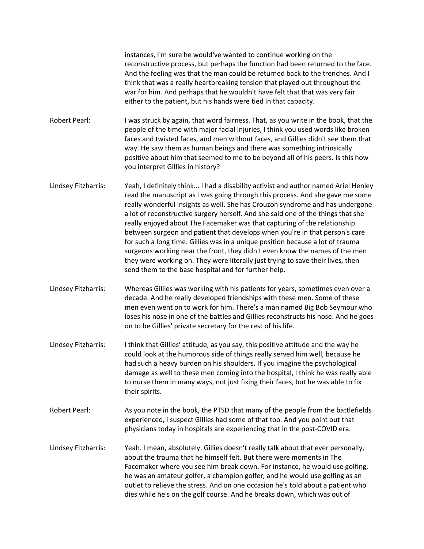instances, I'm sure he would've wanted to continue working on the reconstructive process, but perhaps the function had been returned to the face. And the feeling was that the man could be returned back to the trenches. And I think that was a really heartbreaking tension that played out throughout the war for him. And perhaps that he wouldn't have felt that that was very fair either to the patient, but his hands were tied in that capacity.

- Robert Pearl: I was struck by again, that word fairness. That, as you write in the book, that the people of the time with major facial injuries, I think you used words like broken faces and twisted faces, and men without faces, and Gillies didn't see them that way. He saw them as human beings and there was something intrinsically positive about him that seemed to me to be beyond all of his peers. Is this how you interpret Gillies in history?
- Lindsey Fitzharris: Yeah, I definitely think... I had a disability activist and author named Ariel Henley read the manuscript as I was going through this process. And she gave me some really wonderful insights as well. She has Crouzon syndrome and has undergone a lot of reconstructive surgery herself. And she said one of the things that she really enjoyed about The Facemaker was that capturing of the relationship between surgeon and patient that develops when you're in that person's care for such a long time. Gillies was in a unique position because a lot of trauma surgeons working near the front, they didn't even know the names of the men they were working on. They were literally just trying to save their lives, then send them to the base hospital and for further help.
- Lindsey Fitzharris: Whereas Gillies was working with his patients for years, sometimes even over a decade. And he really developed friendships with these men. Some of these men even went on to work for him. There's a man named Big Bob Seymour who loses his nose in one of the battles and Gillies reconstructs his nose. And he goes on to be Gillies' private secretary for the rest of his life.
- Lindsey Fitzharris: I think that Gillies' attitude, as you say, this positive attitude and the way he could look at the humorous side of things really served him well, because he had such a heavy burden on his shoulders. If you imagine the psychological damage as well to these men coming into the hospital, I think he was really able to nurse them in many ways, not just fixing their faces, but he was able to fix their spirits.
- Robert Pearl: As you note in the book, the PTSD that many of the people from the battlefields experienced, I suspect Gillies had some of that too. And you point out that physicians today in hospitals are experiencing that in the post-COVID era.
- Lindsey Fitzharris: Yeah. I mean, absolutely. Gillies doesn't really talk about that ever personally, about the trauma that he himself felt. But there were moments in The Facemaker where you see him break down. For instance, he would use golfing, he was an amateur golfer, a champion golfer, and he would use golfing as an outlet to relieve the stress. And on one occasion he's told about a patient who dies while he's on the golf course. And he breaks down, which was out of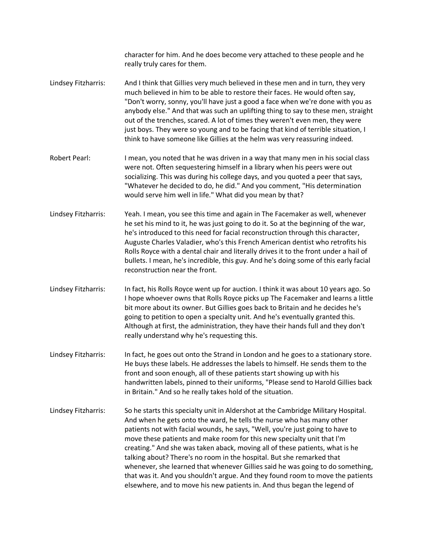character for him. And he does become very attached to these people and he really truly cares for them. Lindsey Fitzharris: And I think that Gillies very much believed in these men and in turn, they very much believed in him to be able to restore their faces. He would often say, "Don't worry, sonny, you'll have just a good a face when we're done with you as anybody else." And that was such an uplifting thing to say to these men, straight out of the trenches, scared. A lot of times they weren't even men, they were just boys. They were so young and to be facing that kind of terrible situation, I think to have someone like Gillies at the helm was very reassuring indeed. Robert Pearl: I mean, you noted that he was driven in a way that many men in his social class were not. Often sequestering himself in a library when his peers were out socializing. This was during his college days, and you quoted a peer that says, "Whatever he decided to do, he did." And you comment, "His determination would serve him well in life." What did you mean by that? Lindsey Fitzharris: Yeah. I mean, you see this time and again in The Facemaker as well, whenever he set his mind to it, he was just going to do it. So at the beginning of the war, he's introduced to this need for facial reconstruction through this character, Auguste Charles Valadier, who's this French American dentist who retrofits his Rolls Royce with a dental chair and literally drives it to the front under a hail of bullets. I mean, he's incredible, this guy. And he's doing some of this early facial reconstruction near the front. Lindsey Fitzharris: In fact, his Rolls Royce went up for auction. I think it was about 10 years ago. So I hope whoever owns that Rolls Royce picks up The Facemaker and learns a little bit more about its owner. But Gillies goes back to Britain and he decides he's going to petition to open a specialty unit. And he's eventually granted this. Although at first, the administration, they have their hands full and they don't really understand why he's requesting this. Lindsey Fitzharris: In fact, he goes out onto the Strand in London and he goes to a stationary store. He buys these labels. He addresses the labels to himself. He sends them to the front and soon enough, all of these patients start showing up with his handwritten labels, pinned to their uniforms, "Please send to Harold Gillies back in Britain." And so he really takes hold of the situation. Lindsey Fitzharris: So he starts this specialty unit in Aldershot at the Cambridge Military Hospital. And when he gets onto the ward, he tells the nurse who has many other patients not with facial wounds, he says, "Well, you're just going to have to move these patients and make room for this new specialty unit that I'm creating." And she was taken aback, moving all of these patients, what is he talking about? There's no room in the hospital. But she remarked that whenever, she learned that whenever Gillies said he was going to do something, that was it. And you shouldn't argue. And they found room to move the patients elsewhere, and to move his new patients in. And thus began the legend of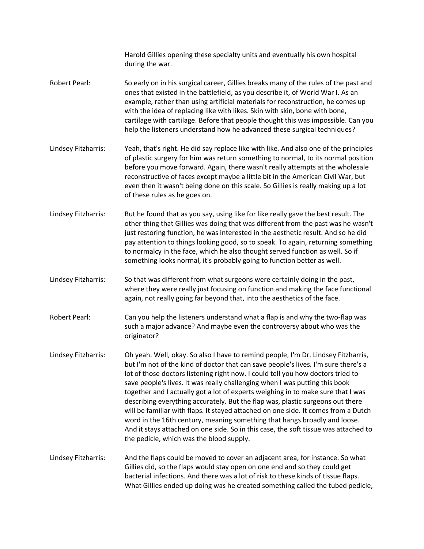Harold Gillies opening these specialty units and eventually his own hospital during the war. Robert Pearl: So early on in his surgical career, Gillies breaks many of the rules of the past and ones that existed in the battlefield, as you describe it, of World War I. As an example, rather than using artificial materials for reconstruction, he comes up with the idea of replacing like with likes. Skin with skin, bone with bone, cartilage with cartilage. Before that people thought this was impossible. Can you help the listeners understand how he advanced these surgical techniques? Lindsey Fitzharris: Yeah, that's right. He did say replace like with like. And also one of the principles of plastic surgery for him was return something to normal, to its normal position before you move forward. Again, there wasn't really attempts at the wholesale reconstructive of faces except maybe a little bit in the American Civil War, but even then it wasn't being done on this scale. So Gillies is really making up a lot of these rules as he goes on. Lindsey Fitzharris: But he found that as you say, using like for like really gave the best result. The other thing that Gillies was doing that was different from the past was he wasn't just restoring function, he was interested in the aesthetic result. And so he did pay attention to things looking good, so to speak. To again, returning something to normalcy in the face, which he also thought served function as well. So if something looks normal, it's probably going to function better as well. Lindsey Fitzharris: So that was different from what surgeons were certainly doing in the past, where they were really just focusing on function and making the face functional again, not really going far beyond that, into the aesthetics of the face. Robert Pearl: Can you help the listeners understand what a flap is and why the two-flap was such a major advance? And maybe even the controversy about who was the originator? Lindsey Fitzharris: Oh yeah. Well, okay. So also I have to remind people, I'm Dr. Lindsey Fitzharris, but I'm not of the kind of doctor that can save people's lives. I'm sure there's a lot of those doctors listening right now. I could tell you how doctors tried to save people's lives. It was really challenging when I was putting this book together and I actually got a lot of experts weighing in to make sure that I was describing everything accurately. But the flap was, plastic surgeons out there will be familiar with flaps. It stayed attached on one side. It comes from a Dutch word in the 16th century, meaning something that hangs broadly and loose. And it stays attached on one side. So in this case, the soft tissue was attached to the pedicle, which was the blood supply. Lindsey Fitzharris: And the flaps could be moved to cover an adjacent area, for instance. So what Gillies did, so the flaps would stay open on one end and so they could get bacterial infections. And there was a lot of risk to these kinds of tissue flaps. What Gillies ended up doing was he created something called the tubed pedicle,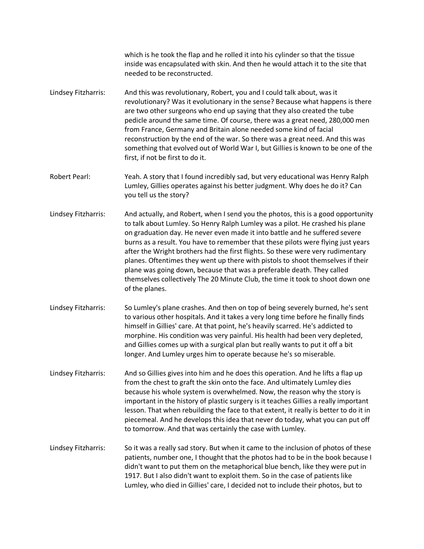which is he took the flap and he rolled it into his cylinder so that the tissue inside was encapsulated with skin. And then he would attach it to the site that needed to be reconstructed.

Lindsey Fitzharris: And this was revolutionary, Robert, you and I could talk about, was it revolutionary? Was it evolutionary in the sense? Because what happens is there are two other surgeons who end up saying that they also created the tube pedicle around the same time. Of course, there was a great need, 280,000 men from France, Germany and Britain alone needed some kind of facial reconstruction by the end of the war. So there was a great need. And this was something that evolved out of World War I, but Gillies is known to be one of the first, if not be first to do it.

Robert Pearl: Yeah. A story that I found incredibly sad, but very educational was Henry Ralph Lumley, Gillies operates against his better judgment. Why does he do it? Can you tell us the story?

- Lindsey Fitzharris: And actually, and Robert, when I send you the photos, this is a good opportunity to talk about Lumley. So Henry Ralph Lumley was a pilot. He crashed his plane on graduation day. He never even made it into battle and he suffered severe burns as a result. You have to remember that these pilots were flying just years after the Wright brothers had the first flights. So these were very rudimentary planes. Oftentimes they went up there with pistols to shoot themselves if their plane was going down, because that was a preferable death. They called themselves collectively The 20 Minute Club, the time it took to shoot down one of the planes.
- Lindsey Fitzharris: So Lumley's plane crashes. And then on top of being severely burned, he's sent to various other hospitals. And it takes a very long time before he finally finds himself in Gillies' care. At that point, he's heavily scarred. He's addicted to morphine. His condition was very painful. His health had been very depleted, and Gillies comes up with a surgical plan but really wants to put it off a bit longer. And Lumley urges him to operate because he's so miserable.
- Lindsey Fitzharris: And so Gillies gives into him and he does this operation. And he lifts a flap up from the chest to graft the skin onto the face. And ultimately Lumley dies because his whole system is overwhelmed. Now, the reason why the story is important in the history of plastic surgery is it teaches Gillies a really important lesson. That when rebuilding the face to that extent, it really is better to do it in piecemeal. And he develops this idea that never do today, what you can put off to tomorrow. And that was certainly the case with Lumley.
- Lindsey Fitzharris: So it was a really sad story. But when it came to the inclusion of photos of these patients, number one, I thought that the photos had to be in the book because I didn't want to put them on the metaphorical blue bench, like they were put in 1917. But I also didn't want to exploit them. So in the case of patients like Lumley, who died in Gillies' care, I decided not to include their photos, but to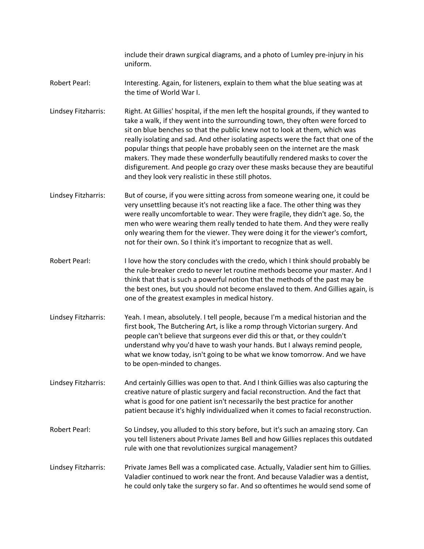include their drawn surgical diagrams, and a photo of Lumley pre-injury in his uniform.

- Robert Pearl: Interesting. Again, for listeners, explain to them what the blue seating was at the time of World War I.
- Lindsey Fitzharris: Right. At Gillies' hospital, if the men left the hospital grounds, if they wanted to take a walk, if they went into the surrounding town, they often were forced to sit on blue benches so that the public knew not to look at them, which was really isolating and sad. And other isolating aspects were the fact that one of the popular things that people have probably seen on the internet are the mask makers. They made these wonderfully beautifully rendered masks to cover the disfigurement. And people go crazy over these masks because they are beautiful and they look very realistic in these still photos.
- Lindsey Fitzharris: But of course, if you were sitting across from someone wearing one, it could be very unsettling because it's not reacting like a face. The other thing was they were really uncomfortable to wear. They were fragile, they didn't age. So, the men who were wearing them really tended to hate them. And they were really only wearing them for the viewer. They were doing it for the viewer's comfort, not for their own. So I think it's important to recognize that as well.
- Robert Pearl: I love how the story concludes with the credo, which I think should probably be the rule-breaker credo to never let routine methods become your master. And I think that that is such a powerful notion that the methods of the past may be the best ones, but you should not become enslaved to them. And Gillies again, is one of the greatest examples in medical history.
- Lindsey Fitzharris: Yeah. I mean, absolutely. I tell people, because I'm a medical historian and the first book, The Butchering Art, is like a romp through Victorian surgery. And people can't believe that surgeons ever did this or that, or they couldn't understand why you'd have to wash your hands. But I always remind people, what we know today, isn't going to be what we know tomorrow. And we have to be open-minded to changes.
- Lindsey Fitzharris: And certainly Gillies was open to that. And I think Gillies was also capturing the creative nature of plastic surgery and facial reconstruction. And the fact that what is good for one patient isn't necessarily the best practice for another patient because it's highly individualized when it comes to facial reconstruction.
- Robert Pearl: So Lindsey, you alluded to this story before, but it's such an amazing story. Can you tell listeners about Private James Bell and how Gillies replaces this outdated rule with one that revolutionizes surgical management?
- Lindsey Fitzharris: Private James Bell was a complicated case. Actually, Valadier sent him to Gillies. Valadier continued to work near the front. And because Valadier was a dentist, he could only take the surgery so far. And so oftentimes he would send some of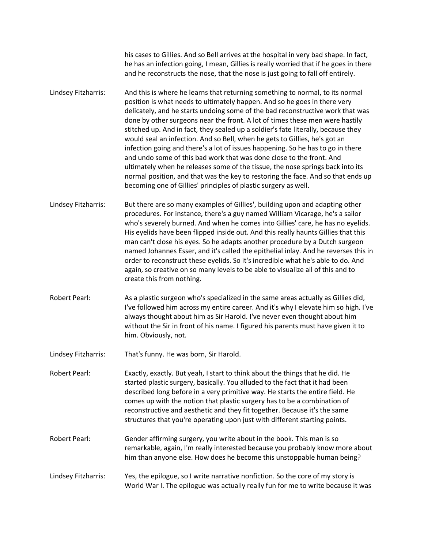his cases to Gillies. And so Bell arrives at the hospital in very bad shape. In fact, he has an infection going, I mean, Gillies is really worried that if he goes in there and he reconstructs the nose, that the nose is just going to fall off entirely.

- Lindsey Fitzharris: And this is where he learns that returning something to normal, to its normal position is what needs to ultimately happen. And so he goes in there very delicately, and he starts undoing some of the bad reconstructive work that was done by other surgeons near the front. A lot of times these men were hastily stitched up. And in fact, they sealed up a soldier's fate literally, because they would seal an infection. And so Bell, when he gets to Gillies, he's got an infection going and there's a lot of issues happening. So he has to go in there and undo some of this bad work that was done close to the front. And ultimately when he releases some of the tissue, the nose springs back into its normal position, and that was the key to restoring the face. And so that ends up becoming one of Gillies' principles of plastic surgery as well.
- Lindsey Fitzharris: But there are so many examples of Gillies', building upon and adapting other procedures. For instance, there's a guy named William Vicarage, he's a sailor who's severely burned. And when he comes into Gillies' care, he has no eyelids. His eyelids have been flipped inside out. And this really haunts Gillies that this man can't close his eyes. So he adapts another procedure by a Dutch surgeon named Johannes Esser, and it's called the epithelial inlay. And he reverses this in order to reconstruct these eyelids. So it's incredible what he's able to do. And again, so creative on so many levels to be able to visualize all of this and to create this from nothing.
- Robert Pearl: As a plastic surgeon who's specialized in the same areas actually as Gillies did, I've followed him across my entire career. And it's why I elevate him so high. I've always thought about him as Sir Harold. I've never even thought about him without the Sir in front of his name. I figured his parents must have given it to him. Obviously, not.
- Lindsey Fitzharris: That's funny. He was born, Sir Harold.
- Robert Pearl: Exactly, exactly. But yeah, I start to think about the things that he did. He started plastic surgery, basically. You alluded to the fact that it had been described long before in a very primitive way. He starts the entire field. He comes up with the notion that plastic surgery has to be a combination of reconstructive and aesthetic and they fit together. Because it's the same structures that you're operating upon just with different starting points.
- Robert Pearl: Gender affirming surgery, you write about in the book. This man is so remarkable, again, I'm really interested because you probably know more about him than anyone else. How does he become this unstoppable human being?
- Lindsey Fitzharris: Yes, the epilogue, so I write narrative nonfiction. So the core of my story is World War I. The epilogue was actually really fun for me to write because it was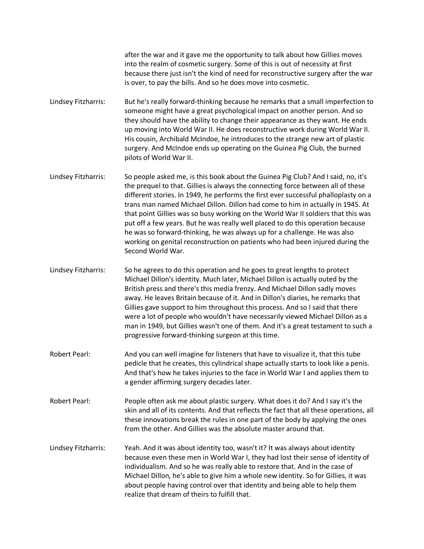after the war and it gave me the opportunity to talk about how Gillies moves into the realm of cosmetic surgery. Some of this is out of necessity at first because there just isn't the kind of need for reconstructive surgery after the war is over, to pay the bills. And so he does move into cosmetic.

Lindsey Fitzharris: But he's really forward-thinking because he remarks that a small imperfection to someone might have a great psychological impact on another person. And so they should have the ability to change their appearance as they want. He ends up moving into World War II. He does reconstructive work during World War II. His cousin, Archibald McIndoe, he introduces to the strange new art of plastic surgery. And McIndoe ends up operating on the Guinea Pig Club, the burned pilots of World War II.

- Lindsey Fitzharris: So people asked me, is this book about the Guinea Pig Club? And I said, no, it's the prequel to that. Gillies is always the connecting force between all of these different stories. In 1949, he performs the first ever successful phalloplasty on a trans man named Michael Dillon. Dillon had come to him in actually in 1945. At that point Gillies was so busy working on the World War II soldiers that this was put off a few years. But he was really well placed to do this operation because he was so forward-thinking, he was always up for a challenge. He was also working on genital reconstruction on patients who had been injured during the Second World War.
- Lindsey Fitzharris: So he agrees to do this operation and he goes to great lengths to protect Michael Dillon's identity. Much later, Michael Dillon is actually outed by the British press and there's this media frenzy. And Michael Dillon sadly moves away. He leaves Britain because of it. And in Dillon's diaries, he remarks that Gillies gave support to him throughout this process. And so I said that there were a lot of people who wouldn't have necessarily viewed Michael Dillon as a man in 1949, but Gillies wasn't one of them. And it's a great testament to such a progressive forward-thinking surgeon at this time.
- Robert Pearl: And you can well imagine for listeners that have to visualize it, that this tube pedicle that he creates, this cylindrical shape actually starts to look like a penis. And that's how he takes injuries to the face in World War I and applies them to a gender affirming surgery decades later.
- Robert Pearl: People often ask me about plastic surgery. What does it do? And I say it's the skin and all of its contents. And that reflects the fact that all these operations, all these innovations break the rules in one part of the body by applying the ones from the other. And Gillies was the absolute master around that.
- Lindsey Fitzharris: Yeah. And it was about identity too, wasn't it? It was always about identity because even these men in World War I, they had lost their sense of identity of individualism. And so he was really able to restore that. And in the case of Michael Dillon, he's able to give him a whole new identity. So for Gillies, it was about people having control over that identity and being able to help them realize that dream of theirs to fulfill that.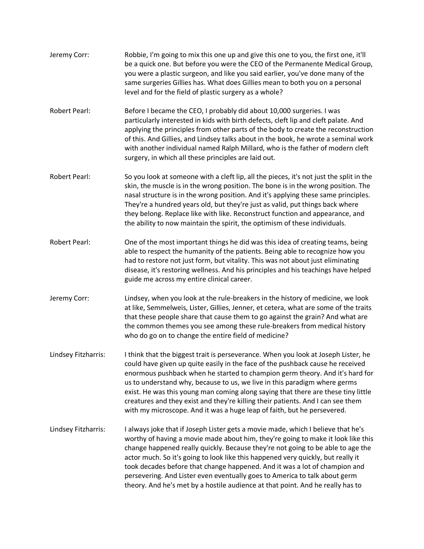| Jeremy Corr:         | Robbie, I'm going to mix this one up and give this one to you, the first one, it'll<br>be a quick one. But before you were the CEO of the Permanente Medical Group,<br>you were a plastic surgeon, and like you said earlier, you've done many of the<br>same surgeries Gillies has. What does Gillies mean to both you on a personal<br>level and for the field of plastic surgery as a whole?                                                                                                                                                                                           |
|----------------------|-------------------------------------------------------------------------------------------------------------------------------------------------------------------------------------------------------------------------------------------------------------------------------------------------------------------------------------------------------------------------------------------------------------------------------------------------------------------------------------------------------------------------------------------------------------------------------------------|
| <b>Robert Pearl:</b> | Before I became the CEO, I probably did about 10,000 surgeries. I was<br>particularly interested in kids with birth defects, cleft lip and cleft palate. And<br>applying the principles from other parts of the body to create the reconstruction<br>of this. And Gillies, and Lindsey talks about in the book, he wrote a seminal work<br>with another individual named Ralph Millard, who is the father of modern cleft<br>surgery, in which all these principles are laid out.                                                                                                         |
| <b>Robert Pearl:</b> | So you look at someone with a cleft lip, all the pieces, it's not just the split in the<br>skin, the muscle is in the wrong position. The bone is in the wrong position. The<br>nasal structure is in the wrong position. And it's applying these same principles.<br>They're a hundred years old, but they're just as valid, put things back where<br>they belong. Replace like with like. Reconstruct function and appearance, and<br>the ability to now maintain the spirit, the optimism of these individuals.                                                                        |
| <b>Robert Pearl:</b> | One of the most important things he did was this idea of creating teams, being<br>able to respect the humanity of the patients. Being able to recognize how you<br>had to restore not just form, but vitality. This was not about just eliminating<br>disease, it's restoring wellness. And his principles and his teachings have helped<br>guide me across my entire clinical career.                                                                                                                                                                                                    |
| Jeremy Corr:         | Lindsey, when you look at the rule-breakers in the history of medicine, we look<br>at like, Semmelweis, Lister, Gillies, Jenner, et cetera, what are some of the traits<br>that these people share that cause them to go against the grain? And what are<br>the common themes you see among these rule-breakers from medical history<br>who do go on to change the entire field of medicine?                                                                                                                                                                                              |
| Lindsey Fitzharris:  | I think that the biggest trait is perseverance. When you look at Joseph Lister, he<br>could have given up quite easily in the face of the pushback cause he received<br>enormous pushback when he started to champion germ theory. And it's hard for<br>us to understand why, because to us, we live in this paradigm where germs<br>exist. He was this young man coming along saying that there are these tiny little<br>creatures and they exist and they're killing their patients. And I can see them<br>with my microscope. And it was a huge leap of faith, but he persevered.      |
| Lindsey Fitzharris:  | I always joke that if Joseph Lister gets a movie made, which I believe that he's<br>worthy of having a movie made about him, they're going to make it look like this<br>change happened really quickly. Because they're not going to be able to age the<br>actor much. So it's going to look like this happened very quickly, but really it<br>took decades before that change happened. And it was a lot of champion and<br>persevering. And Lister even eventually goes to America to talk about germ<br>theory. And he's met by a hostile audience at that point. And he really has to |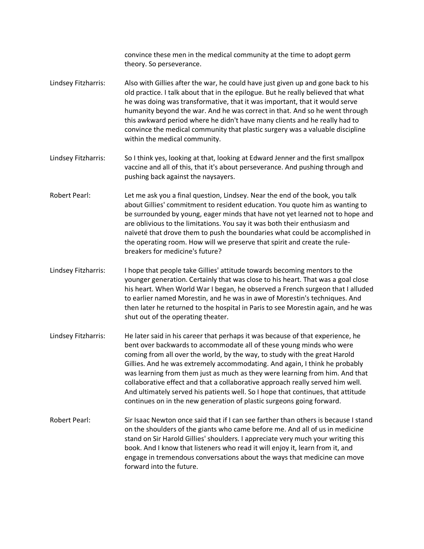convince these men in the medical community at the time to adopt germ theory. So perseverance. Lindsey Fitzharris: Also with Gillies after the war, he could have just given up and gone back to his old practice. I talk about that in the epilogue. But he really believed that what he was doing was transformative, that it was important, that it would serve humanity beyond the war. And he was correct in that. And so he went through this awkward period where he didn't have many clients and he really had to convince the medical community that plastic surgery was a valuable discipline within the medical community. Lindsey Fitzharris: So I think yes, looking at that, looking at Edward Jenner and the first smallpox vaccine and all of this, that it's about perseverance. And pushing through and pushing back against the naysayers. Robert Pearl: Let me ask you a final question, Lindsey. Near the end of the book, you talk about Gillies' commitment to resident education. You quote him as wanting to be surrounded by young, eager minds that have not yet learned not to hope and are oblivious to the limitations. You say it was both their enthusiasm and naïveté that drove them to push the boundaries what could be accomplished in the operating room. How will we preserve that spirit and create the rulebreakers for medicine's future? Lindsey Fitzharris: I hope that people take Gillies' attitude towards becoming mentors to the younger generation. Certainly that was close to his heart. That was a goal close his heart. When World War I began, he observed a French surgeon that I alluded to earlier named Morestin, and he was in awe of Morestin's techniques. And then later he returned to the hospital in Paris to see Morestin again, and he was shut out of the operating theater. Lindsey Fitzharris: He later said in his career that perhaps it was because of that experience, he bent over backwards to accommodate all of these young minds who were coming from all over the world, by the way, to study with the great Harold Gillies. And he was extremely accommodating. And again, I think he probably was learning from them just as much as they were learning from him. And that collaborative effect and that a collaborative approach really served him well. And ultimately served his patients well. So I hope that continues, that attitude continues on in the new generation of plastic surgeons going forward. Robert Pearl: Sir Isaac Newton once said that if I can see farther than others is because I stand on the shoulders of the giants who came before me. And all of us in medicine stand on Sir Harold Gillies' shoulders. I appreciate very much your writing this book. And I know that listeners who read it will enjoy it, learn from it, and engage in tremendous conversations about the ways that medicine can move forward into the future.